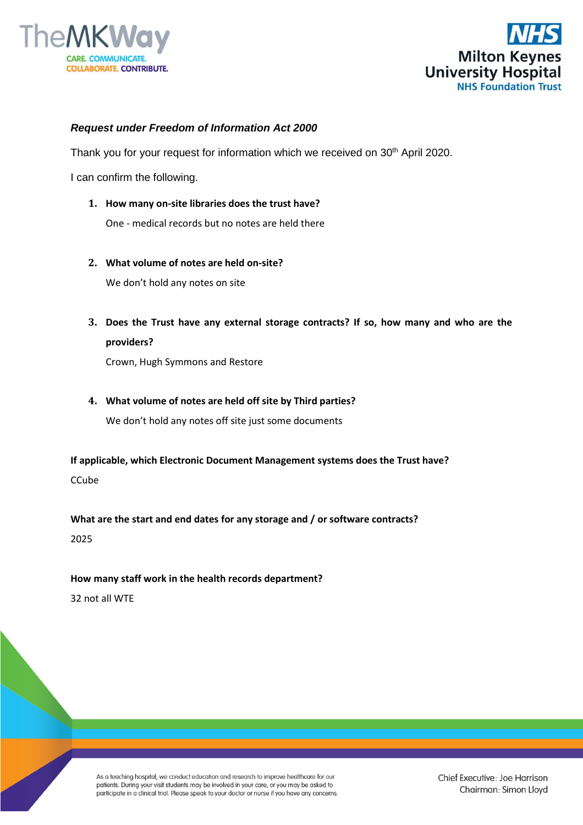



## *Request under Freedom of Information Act 2000*

Thank you for your request for information which we received on 30<sup>th</sup> April 2020.

I can confirm the following.

**1. How many on-site libraries does the trust have?** 

One - medical records but no notes are held there

**2. What volume of notes are held on-site?** 

We don't hold any notes on site

**3. Does the Trust have any external storage contracts? If so, how many and who are the providers?** 

Crown, Hugh Symmons and Restore

**4. What volume of notes are held off site by Third parties?** 

We don't hold any notes off site just some documents

**If applicable, which Electronic Document Management systems does the Trust have?** CCube

**What are the start and end dates for any storage and / or software contracts?**

2025

## **How many staff work in the health records department?**

32 not all WTE

As a teaching hospital, we conduct education and research to improve healthcare for our patients. During your visit students may be involved in your care, or you may be asked to participate in a clinical trial. Please speak to your doctor or nurse if you have any concerns.